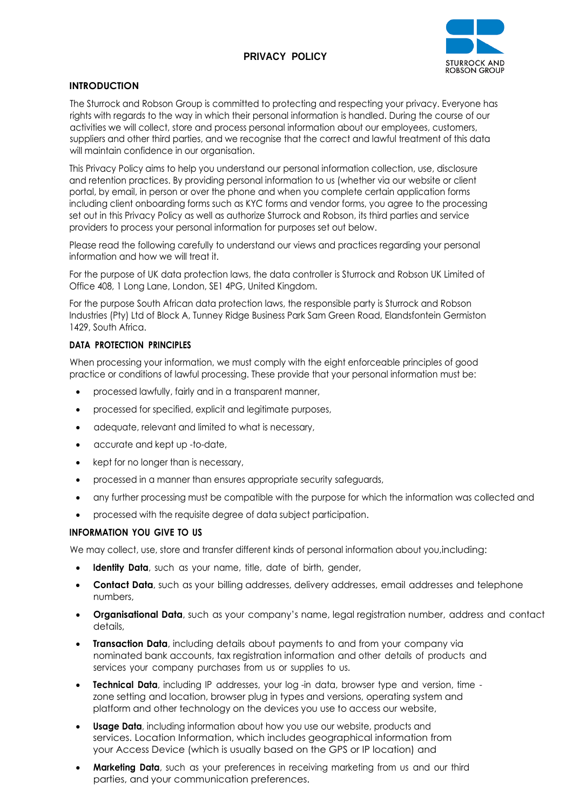

## **INTRODUCTION**

The Sturrock and Robson Group is committed to protecting and respecting your privacy. Everyone has rights with regards to the way in which their personal information is handled. During the course of our activities we will collect, store and process personal information about our employees, customers, suppliers and other third parties, and we recognise that the correct and lawful treatment of this data will maintain confidence in our organisation.

This Privacy Policy aims to help you understand our personal information collection, use, disclosure and retention practices. By providing personal information to us (whether via our website or client portal, by email, in person or over the phone and when you complete certain application forms including client onboarding forms such as KYC forms and vendor forms, you agree to the processing set out in this Privacy Policy as well as authorize Sturrock and Robson, its third parties and service providers to process your personal information for purposes set out below.

Please read the following carefully to understand our views and practices regarding your personal information and how we will treat it.

For the purpose of UK data protection laws, the data controller is Sturrock and Robson UK Limited of Office 408, 1 Long Lane, London, SE1 4PG, United Kingdom.

For the purpose South African data protection laws, the responsible party is Sturrock and Robson Industries (Pty) Ltd of Block A, Tunney Ridge Business Park Sam Green Road, Elandsfontein Germiston 1429, South Africa.

## **DATA PROTECTION PRINCIPLES**

When processing your information, we must comply with the eight enforceable principles of good practice or conditions of lawful processing. These provide that your personal information must be:

- processed lawfully, fairly and in a transparent manner,
- processed for specified, explicit and legitimate purposes,
- adequate, relevant and limited to what is necessary,
- accurate and kept up -to-date,
- kept for no longer than is necessary,
- processed in a manner than ensures appropriate security safeguards,
- any further processing must be compatible with the purpose for which the information was collected and
- processed with the requisite degree of data subject participation.

#### **INFORMATION YOU GIVE TO US**

We may collect, use, store and transfer different kinds of personal information about you, including:

- **Identity Data**, such as your name, title, date of birth, gender,
- **Contact Data**, such as your billing addresses, delivery addresses, email addresses and telephone numbers,
- **Organisational Data**, such as your company's name, legal registration number, address and contact details,
- **Transaction Data**, including details about payments to and from your company via nominated bank accounts, tax registration information and other details of products and services your company purchases from us or supplies to us.
- **Technical Data**, including IP addresses, your log -in data, browser type and version, time zone setting and location, browser plug in types and versions, operating system and platform and other technology on the devices you use to access our website,
- **Usage Data**, including information about how you use our website, products and services. Location Information, which includes geographical information from your Access Device (which is usually based on the GPS or IP location) and
- **Marketing Data**, such as your preferences in receiving marketing from us and our third parties, and your communication preferences.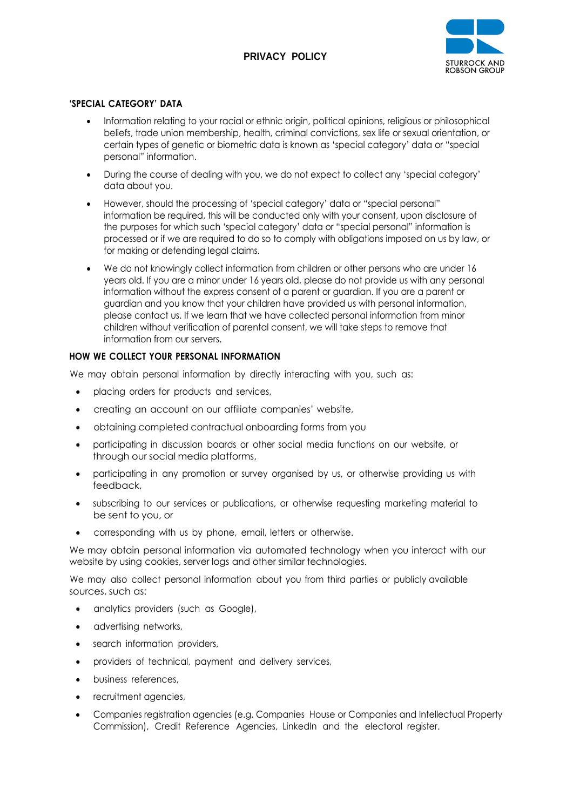

## **'SPECIAL CATEGORY' DATA**

- Information relating to your racial or ethnic origin, political opinions, religious or philosophical beliefs, trade union membership, health, criminal convictions, sex life or sexual orientation, or certain types of genetic or biometric data is known as 'special category' data or "special personal" information.
- During the course of dealing with you, we do not expect to collect any 'special category' data about you.
- However, should the processing of 'special category' data or "special personal" information be required, this will be conducted only with your consent, upon disclosure of the purposes for which such 'special category' data or "special personal" information is processed or if we are required to do so to comply with obligations imposed on us by law, or for making or defending legal claims.
- We do not knowingly collect information from children or other persons who are under 16 years old. If you are a minor under 16 years old, please do not provide us with any personal information without the express consent of a parent or guardian. If you are a parent or guardian and you know that your children have provided us with personal information, please contact us. If we learn that we have collected personal information from minor children without verification of parental consent, we will take steps to remove that information from our servers.

#### **HOW WE COLLECT YOUR PERSONAL INFORMATION**

We may obtain personal information by directly interacting with you, such as:

- placing orders for products and services,
- creating an account on our affiliate companies' website,
- obtaining completed contractual onboarding forms from you
- participating in discussion boards or other social media functions on our website, or through our social media platforms,
- participating in any promotion or survey organised by us, or otherwise providing us with feedback,
- subscribing to our services or publications, or otherwise requesting marketing material to be sent to you, or
- corresponding with us by phone, email, letters or otherwise.

We may obtain personal information via automated technology when you interact with our website by using cookies, server logs and other similar technologies.

We may also collect personal information about you from third parties or publicly available sources, such as:

- analytics providers (such as Google),
- advertising networks,
- search information providers,
- providers of technical, payment and delivery services,
- business references,
- recruitment agencies,
- Companies registration agencies (e.g. Companies House or Companies and Intellectual Property Commission), Credit Reference Agencies, LinkedIn and the electoral register.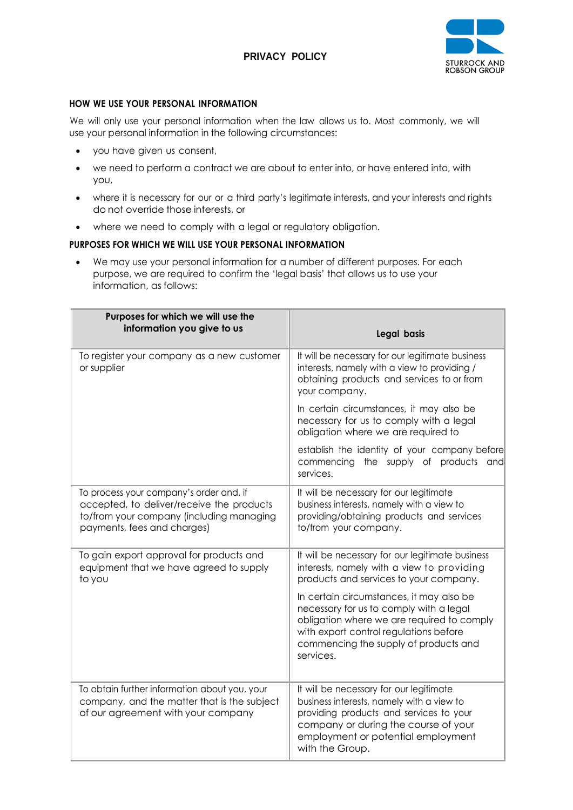

## **HOW WE USE YOUR PERSONAL INFORMATION**

We will only use your personal information when the law allows us to. Most commonly, we will use your personal information in the following circumstances:

- you have given us consent,
- we need to perform a contract we are about to enter into, or have entered into, with you,
- where it is necessary for our or a third party's legitimate interests, and your interests and rights do not override those interests, or
- where we need to comply with a legal or regulatory obligation.

## **PURPOSES FOR WHICH WE WILL USE YOUR PERSONAL INFORMATION**

• We may use your personal information for a number of different purposes. For each purpose, we are required to confirm the 'legal basis' that allows us to use your information, as follows:

| Purposes for which we will use the<br>information you give to us                                                                                                | Legal basis                                                                                                                                                                                                                       |
|-----------------------------------------------------------------------------------------------------------------------------------------------------------------|-----------------------------------------------------------------------------------------------------------------------------------------------------------------------------------------------------------------------------------|
| To register your company as a new customer<br>or supplier                                                                                                       | It will be necessary for our legitimate business<br>interests, namely with a view to providing /<br>obtaining products and services to or from<br>your company.                                                                   |
|                                                                                                                                                                 | In certain circumstances, it may also be<br>necessary for us to comply with a legal<br>obligation where we are required to                                                                                                        |
|                                                                                                                                                                 | establish the identity of your company before<br>commencing the supply of products and<br>services.                                                                                                                               |
| To process your company's order and, if<br>accepted, to deliver/receive the products<br>to/from your company (including managing<br>payments, fees and charges) | It will be necessary for our legitimate<br>business interests, namely with a view to<br>providing/obtaining products and services<br>to/from your company.                                                                        |
| To gain export approval for products and<br>equipment that we have agreed to supply<br>to you                                                                   | It will be necessary for our legitimate business<br>interests, namely with a view to providing<br>products and services to your company.                                                                                          |
|                                                                                                                                                                 | In certain circumstances, it may also be<br>necessary for us to comply with a legal<br>obligation where we are required to comply<br>with export control regulations before<br>commencing the supply of products and<br>services. |
| To obtain further information about you, your<br>company, and the matter that is the subject<br>of our agreement with your company                              | It will be necessary for our legitimate<br>business interests, namely with a view to<br>providing products and services to your<br>company or during the course of your<br>employment or potential employment<br>with the Group.  |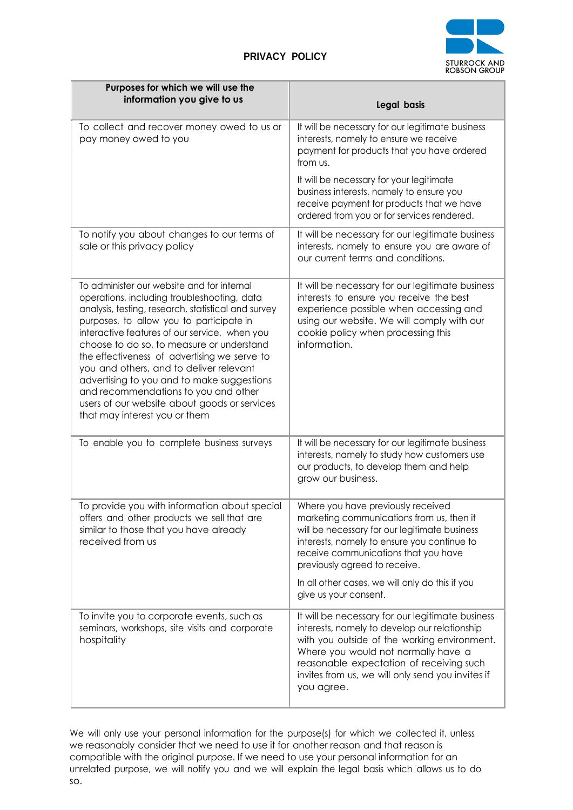

| Purposes for which we will use the<br>information you give to us                                                                                                                                                                                                                                                                                                                                                                                                                                                                                             | Legal basis                                                                                                                                                                                                                                                                                             |
|--------------------------------------------------------------------------------------------------------------------------------------------------------------------------------------------------------------------------------------------------------------------------------------------------------------------------------------------------------------------------------------------------------------------------------------------------------------------------------------------------------------------------------------------------------------|---------------------------------------------------------------------------------------------------------------------------------------------------------------------------------------------------------------------------------------------------------------------------------------------------------|
| To collect and recover money owed to us or<br>pay money owed to you                                                                                                                                                                                                                                                                                                                                                                                                                                                                                          | It will be necessary for our legitimate business<br>interests, namely to ensure we receive<br>payment for products that you have ordered<br>from us.                                                                                                                                                    |
|                                                                                                                                                                                                                                                                                                                                                                                                                                                                                                                                                              | It will be necessary for your legitimate<br>business interests, namely to ensure you<br>receive payment for products that we have<br>ordered from you or for services rendered.                                                                                                                         |
| To notify you about changes to our terms of<br>sale or this privacy policy                                                                                                                                                                                                                                                                                                                                                                                                                                                                                   | It will be necessary for our legitimate business<br>interests, namely to ensure you are aware of<br>our current terms and conditions.                                                                                                                                                                   |
| To administer our website and for internal<br>operations, including troubleshooting, data<br>analysis, testing, research, statistical and survey<br>purposes, to allow you to participate in<br>interactive features of our service, when you<br>choose to do so, to measure or understand<br>the effectiveness of advertising we serve to<br>you and others, and to deliver relevant<br>advertising to you and to make suggestions<br>and recommendations to you and other<br>users of our website about goods or services<br>that may interest you or them | It will be necessary for our legitimate business<br>interests to ensure you receive the best<br>experience possible when accessing and<br>using our website. We will comply with our<br>cookie policy when processing this<br>information.                                                              |
| To enable you to complete business surveys                                                                                                                                                                                                                                                                                                                                                                                                                                                                                                                   | It will be necessary for our legitimate business<br>interests, namely to study how customers use<br>our products, to develop them and help<br>grow our business.                                                                                                                                        |
| To provide you with information about special<br>offers and other products we sell that are<br>similar to those that you have already<br>received from us                                                                                                                                                                                                                                                                                                                                                                                                    | Where you have previously received<br>marketing communications from us, then it<br>will be necessary for our legitimate business<br>interests, namely to ensure you continue to<br>receive communications that you have<br>previously agreed to receive.                                                |
|                                                                                                                                                                                                                                                                                                                                                                                                                                                                                                                                                              | In all other cases, we will only do this if you<br>give us your consent.                                                                                                                                                                                                                                |
| To invite you to corporate events, such as<br>seminars, workshops, site visits and corporate<br>hospitality                                                                                                                                                                                                                                                                                                                                                                                                                                                  | It will be necessary for our legitimate business<br>interests, namely to develop our relationship<br>with you outside of the working environment.<br>Where you would not normally have a<br>reasonable expectation of receiving such<br>invites from us, we will only send you invites if<br>you agree. |

We will only use your personal information for the purpose(s) for which we collected it, unless we reasonably consider that we need to use it for another reason and that reason is compatible with the original purpose. If we need to use your personal information for an unrelated purpose, we will notify you and we will explain the legal basis which allows us to do so.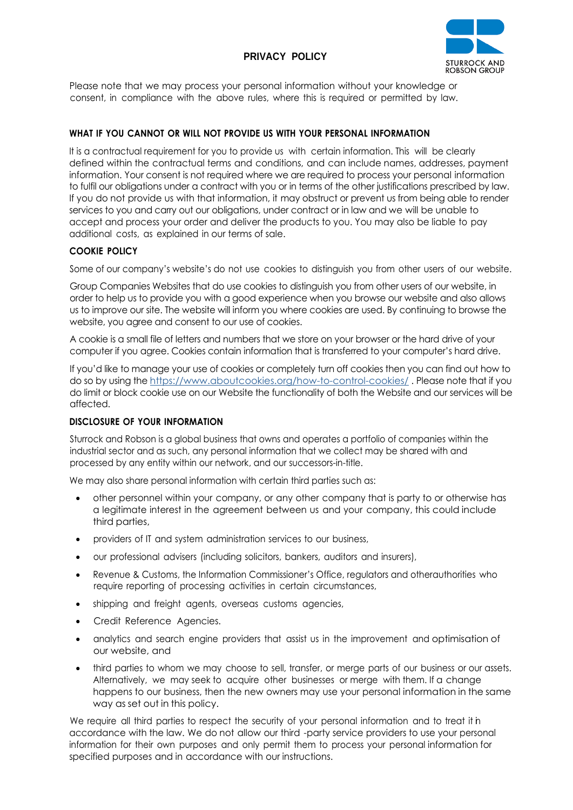# **PRIVACY POLICY**



Please note that we may process your personal information without your knowledge or consent, in compliance with the above rules, where this is required or permitted by law.

# **WHAT IF YOU CANNOT OR WILL NOT PROVIDE US WITH YOUR PERSONAL INFORMATION**

It is a contractual requirement for you to provide us with certain information. This will be clearly defined within the contractual terms and conditions, and can include names, addresses, payment information. Your consent is not required where we are required to process your personal information to fulfil our obligations under a contract with you or in terms of the other justifications prescribed by law. If you do not provide us with that information, it may obstruct or prevent us from being able to render services to you and carry out our obligations, under contract or in law and we will be unable to accept and process your order and deliver the products to you. You may also be liable to pay additional costs, as explained in our terms of sale.

# **COOKIE POLICY**

Some of our company's website's do not use cookies to distinguish you from other users of our website.

Group Companies Websites that do use cookies to distinguish you from other users of our website, in order to help us to provide you with a good experience when you browse our website and also allows us to improve our site. The website will inform you where cookies are used. By continuing to browse the website, you agree and consent to our use of cookies.

A cookie is a small file of letters and numbers that we store on your browser or the hard drive of your computer if you agree. Cookies contain information that is transferred to your computer's hard drive.

If you'd like to manage your use of cookies or completely turn off cookies then you can find out how to do so by using th[e https://www.aboutcookies.org/how-to-control-cookies/](https://www.aboutcookies.org/how-to-control-cookies/) . Please note that if you do limit or block cookie use on our Website the functionality of both the Website and our services will be affected.

# **DISCLOSURE OF YOUR INFORMATION**

Sturrock and Robson is a global business that owns and operates a portfolio of companies within the industrial sector and as such, any personal information that we collect may be shared with and processed by any entity within our network, and our successors-in-title.

We may also share personal information with certain third parties such as:

- other personnel within your company, or any other company that is party to or otherwise has a legitimate interest in the agreement between us and your company, this could include third parties,
- providers of IT and system administration services to our business,
- our professional advisers (including solicitors, bankers, auditors and insurers),
- Revenue & Customs, the Information Commissioner's Office, regulators and otherauthorities who require reporting of processing activities in certain circumstances,
- shipping and freight agents, overseas customs agencies,
- Credit Reference Agencies.
- analytics and search engine providers that assist us in the improvement and optimisation of our website, and
- third parties to whom we may choose to sell, transfer, or merge parts of our business or our assets. Alternatively, we may seek to acquire other businesses or merge with them. If a change happens to our business, then the new owners may use your personal information in the same way as set out in this policy.

We require all third parties to respect the security of your personal information and to treat it in accordance with the law. We do not allow our third -party service providers to use your personal information for their own purposes and only permit them to process your personal information for specified purposes and in accordance with our instructions.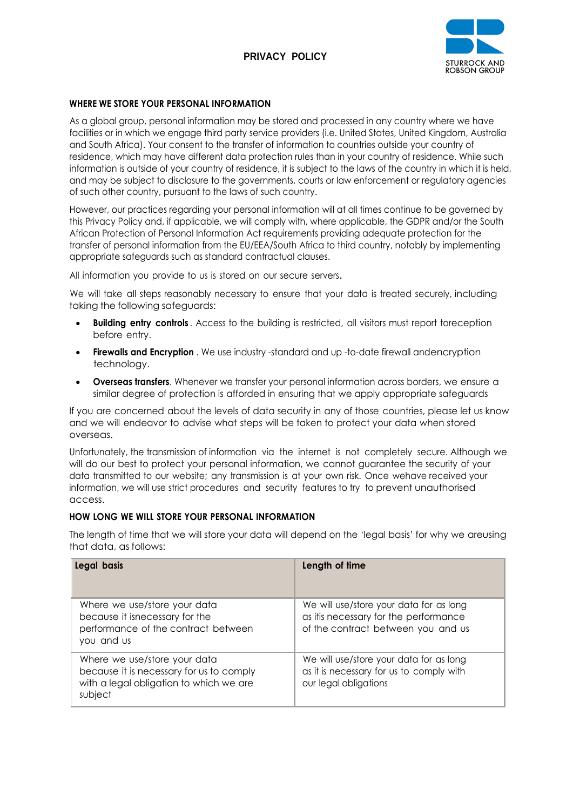

## **WHERE WE STORE YOUR PERSONAL INFORMATION**

As a global group, personal information may be stored and processed in any country where we have facilities or in which we engage third party service providers (i.e. United States, United Kingdom, Australia and South Africa). Your consent to the transfer of information to countries outside your country of residence, which may have different data protection rules than in your country of residence. While such information is outside of your country of residence, it is subject to the laws of the country in which it is held, and may be subject to disclosure to the governments, courts or law enforcement or regulatory agencies of such other country, pursuant to the laws of such country.

However, our practices regarding your personal information will at all times continue to be governed by this Privacy Policy and, if applicable, we will comply with, where applicable, the GDPR and/or the South African Protection of Personal Information Act requirements providing adequate protection for the transfer of personal information from the EU/EEA/South Africa to third country, notably by implementing appropriate safeguards such as standard contractual clauses.

All information you provide to us is stored on our secure servers.

We will take all steps reasonably necessary to ensure that your data is treated securely, including taking the following safeguards:

- **Building entry controls** . Access to the building is restricted, all visitors must report toreception before entry.
- **Firewalls and Encryption** . We use industry -standard and up -to-date firewall andencryption technology.
- **Overseas transfers**. Whenever we transfer your personal information across borders, we ensure a similar degree of protection is afforded in ensuring that we apply appropriate safeguards

If you are concerned about the levels of data security in any of those countries, please let us know and we will endeavor to advise what steps will be taken to protect your data when stored overseas.

Unfortunately, the transmission of information via the internet is not completely secure. Although we will do our best to protect your personal information, we cannot guarantee the security of your data transmitted to our website; any transmission is at your own risk. Once wehave received your information, we will use strict procedures and security features to try to prevent unauthorised access.

#### **HOW LONG WE WILL STORE YOUR PERSONAL INFORMATION**

The length of time that we will store your data will depend on the 'legal basis' for why we areusing that data, as follows:

| Legal basis                                                                                                                    | Length of time                                                                                                         |
|--------------------------------------------------------------------------------------------------------------------------------|------------------------------------------------------------------------------------------------------------------------|
| Where we use/store your data<br>because it isnecessary for the<br>performance of the contract between<br>you and us            | We will use/store your data for as long<br>as itis necessary for the performance<br>of the contract between you and us |
| Where we use/store your data<br>because it is necessary for us to comply<br>with a legal obligation to which we are<br>subject | We will use/store your data for as long<br>as it is necessary for us to comply with<br>our legal obligations           |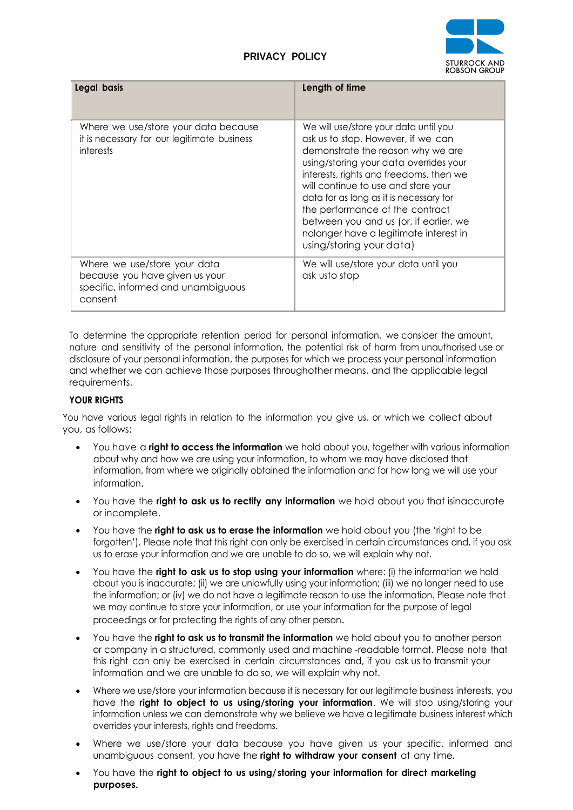# **PRIVACY POLICY**



| Legal basis                                                                                                     | Length of time                                                                                                                                                                                                                                                                                                                                                                                                                             |
|-----------------------------------------------------------------------------------------------------------------|--------------------------------------------------------------------------------------------------------------------------------------------------------------------------------------------------------------------------------------------------------------------------------------------------------------------------------------------------------------------------------------------------------------------------------------------|
| Where we use/store your data because<br>it is necessary for our legitimate business<br><i>interests</i>         | We will use/store your data until you<br>ask us to stop. However, if we can<br>demonstrate the reason why we are<br>using/storing your data overrides your<br>interests, rights and freedoms, then we<br>will continue to use and store your<br>data for as long as it is necessary for<br>the performance of the contract<br>between you and us (or, if earlier, we<br>nolonger have a legitimate interest in<br>using/storing your data) |
| Where we use/store your data<br>because you have given us your<br>specific, informed and unambiguous<br>consent | We will use/store your data until you<br>ask usto stop                                                                                                                                                                                                                                                                                                                                                                                     |

To determine the appropriate retention period for personal information, we consider the amount, nature and sensitivity of the personal information, the potential risk of harm from unauthorised use or disclosure of your personal information, the purposes for which we process your personal information and whether we can achieve those purposes throughother means, and the applicable legal requirements.

## **YOUR RIGHTS**

You have various legal rights in relation to the information you give us, or which we collect about you, as follows:

- You have a **right to access the information** we hold about you, together with various information about why and how we are using your information, to whom we may have disclosed that information, from where we originally obtained the information and for how long we will use your information.
- You have the **right to ask us to rectify any information** we hold about you that isinaccurate or incomplete.
- You have the **right to ask us to erase the information** we hold about you (the 'right to be forgotten'). Please note that this right can only be exercised in certain circumstances and, if you ask us to erase your information and we are unable to do so, we will explain why not.
- You have the **right to ask us to stop using your information** where: (i) the information we hold about you is inaccurate; (ii) we are unlawfully using your information; (iii) we no longer need to use the information; or (iv) we do not have a legitimate reason to use the information. Please note that we may continue to store your information, or use your information for the purpose of legal proceedings or for protecting the rights of any other person.
- You have the **right to ask us to transmit the information** we hold about you to another person or company in a structured, commonly used and machine -readable format. Please note that this right can only be exercised in certain circumstances and, if you ask us to transmit your information and we are unable to do so, we will explain why not.
- Where we use/store your information because it is necessary for our legitimate business interests, you have the **right to object to us using/storing your information**. We will stop using/storing your information unless we can demonstrate why we believe we have a legitimate business interest which overrides your interests, rights and freedoms.
- Where we use/store your data because you have given us your specific, informed and unambiguous consent, you have the **right to withdraw your consent** at any time.
- You have the **right to object to us using/storing your information for direct marketing purposes.**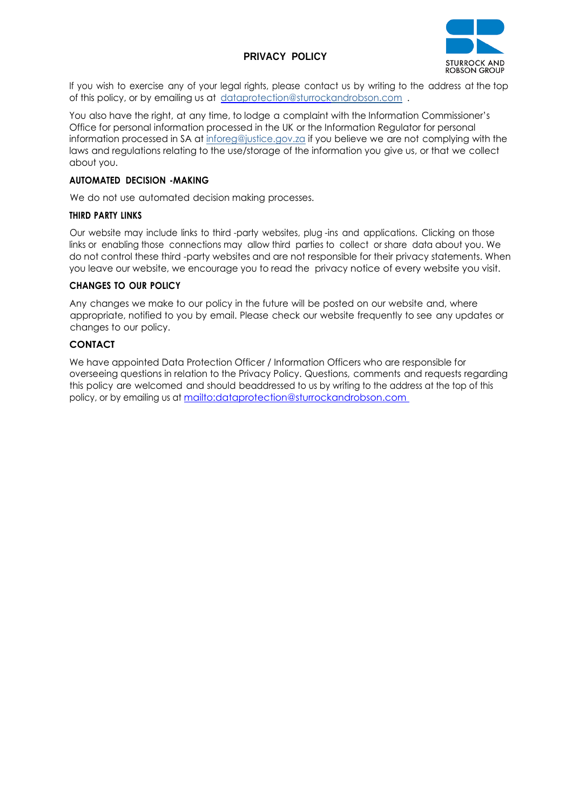# **PRIVACY POLICY**



If you wish to exercise any of your legal rights, please contact us by writing to the address at the top of this policy, or by emailing us at [dataprotection@sturrockandrobson.com](mailto:dataprotection@sturrockandrobson.com).

You also have the right, at any time, to lodge a complaint with the Information Commissioner's Office for personal information processed in the UK or the Information Regulator for personal information processed in SA at [inforeg@justice.gov.za](mailto:inforeg@justice.gov.za) if you believe we are not complying with the laws and regulations relating to the use/storage of the information you give us, or that we collect about you.

## **AUTOMATED DECISION -MAKING**

We do not use automated decision making processes.

#### **THIRD PARTY LINKS**

Our website may include links to third -party websites, plug -ins and applications. Clicking on those links or enabling those connections may allow third parties to collect or share data about you. We do not control these third -party websites and are not responsible for their privacy statements. When you leave our website, we encourage you to read the privacy notice of every website you visit.

#### **CHANGES TO OUR POLICY**

Any changes we make to our policy in the future will be posted on our website and, where appropriate, notified to you by email. Please check our website frequently to see any updates or changes to our policy.

# **CONTACT**

We have appointed Data Protection Officer / Information Officers who are responsible for overseeing questions in relation to the Privacy Policy. Questions, comments and requests regarding this policy are welcomed and should beaddressed to us by writing to the address at the top of this policy, or by emailing us at <mailto:dataprotection@sturrockandrobson.com>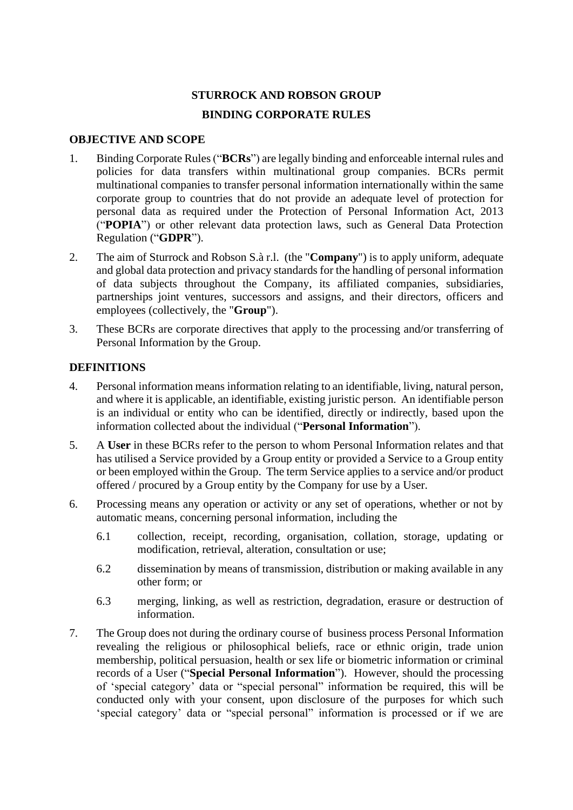# **STURROCK AND ROBSON GROUP BINDING CORPORATE RULES**

# **OBJECTIVE AND SCOPE**

- 1. Binding Corporate Rules("**BCRs**") are legally binding and enforceable internal rules and policies for data transfers within multinational group companies. BCRs permit multinational companies to transfer personal information internationally within the same corporate group to countries that do not provide an adequate level of protection for personal data as required under the Protection of Personal Information Act, 2013 ("**POPIA**") or other relevant data protection laws, such as General Data Protection Regulation ("**GDPR**").
- 2. The aim of Sturrock and Robson S.à r.l. (the "**Company**") is to apply uniform, adequate and global data protection and privacy standards for the handling of personal information of data subjects throughout the Company, its affiliated companies, subsidiaries, partnerships joint ventures, successors and assigns, and their directors, officers and employees (collectively, the "**Group**").
- 3. These BCRs are corporate directives that apply to the processing and/or transferring of Personal Information by the Group.

# **DEFINITIONS**

- 4. Personal information means information relating to an identifiable, living, natural person, and where it is applicable, an identifiable, existing juristic person. An identifiable person is an individual or entity who can be identified, directly or indirectly, based upon the information collected about the individual ("**Personal Information**").
- 5. A **User** in these BCRs refer to the person to whom Personal Information relates and that has utilised a Service provided by a Group entity or provided a Service to a Group entity or been employed within the Group. The term Service applies to a service and/or product offered / procured by a Group entity by the Company for use by a User.
- 6. Processing means any operation or activity or any set of operations, whether or not by automatic means, concerning personal information, including the
	- 6.1 collection, receipt, recording, organisation, collation, storage, updating or modification, retrieval, alteration, consultation or use;
	- 6.2 dissemination by means of transmission, distribution or making available in any other form; or
	- 6.3 merging, linking, as well as restriction, degradation, erasure or destruction of information.
- 7. The Group does not during the ordinary course of business process Personal Information revealing the religious or philosophical beliefs, race or ethnic origin, trade union membership, political persuasion, health or sex life or biometric information or criminal records of a User ("**Special Personal Information**"). However, should the processing of 'special category' data or "special personal" information be required, this will be conducted only with your consent, upon disclosure of the purposes for which such 'special category' data or "special personal" information is processed or if we are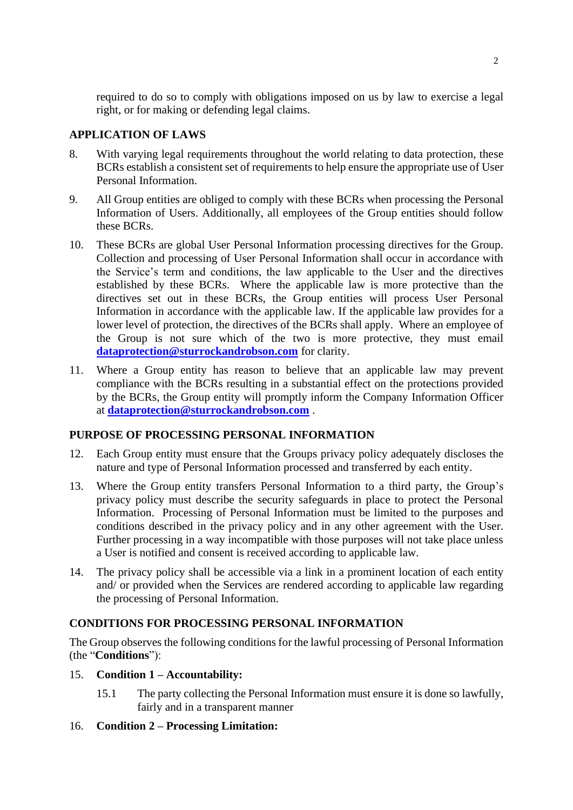required to do so to comply with obligations imposed on us by law to exercise a legal right, or for making or defending legal claims.

# **APPLICATION OF LAWS**

- 8. With varying legal requirements throughout the world relating to data protection, these BCRs establish a consistent set of requirements to help ensure the appropriate use of User Personal Information.
- 9. All Group entities are obliged to comply with these BCRs when processing the Personal Information of Users. Additionally, all employees of the Group entities should follow these BCRs.
- 10. These BCRs are global User Personal Information processing directives for the Group. Collection and processing of User Personal Information shall occur in accordance with the Service's term and conditions, the law applicable to the User and the directives established by these BCRs. Where the applicable law is more protective than the directives set out in these BCRs, the Group entities will process User Personal Information in accordance with the applicable law. If the applicable law provides for a lower level of protection, the directives of the BCRs shall apply. Where an employee of the Group is not sure which of the two is more protective, they must email **[dataprotection@sturrockandrobson.com](mailto:dataprotection@sturrockandrobson.com)** for clarity.
- 11. Where a Group entity has reason to believe that an applicable law may prevent compliance with the BCRs resulting in a substantial effect on the protections provided by the BCRs, the Group entity will promptly inform the Company Information Officer at **[dataprotection@sturrockandrobson.com](mailto:dataprotection@sturrockandrobson.com)** .

# **PURPOSE OF PROCESSING PERSONAL INFORMATION**

- 12. Each Group entity must ensure that the Groups privacy policy adequately discloses the nature and type of Personal Information processed and transferred by each entity.
- 13. Where the Group entity transfers Personal Information to a third party, the Group's privacy policy must describe the security safeguards in place to protect the Personal Information. Processing of Personal Information must be limited to the purposes and conditions described in the privacy policy and in any other agreement with the User. Further processing in a way incompatible with those purposes will not take place unless a User is notified and consent is received according to applicable law.
- 14. The privacy policy shall be accessible via a link in a prominent location of each entity and/ or provided when the Services are rendered according to applicable law regarding the processing of Personal Information.

# **CONDITIONS FOR PROCESSING PERSONAL INFORMATION**

The Group observes the following conditions for the lawful processing of Personal Information (the "**Conditions**"):

# 15. **Condition 1 – Accountability:**

- 15.1 The party collecting the Personal Information must ensure it is done so lawfully, fairly and in a transparent manner
- 16. **Condition 2 – Processing Limitation:**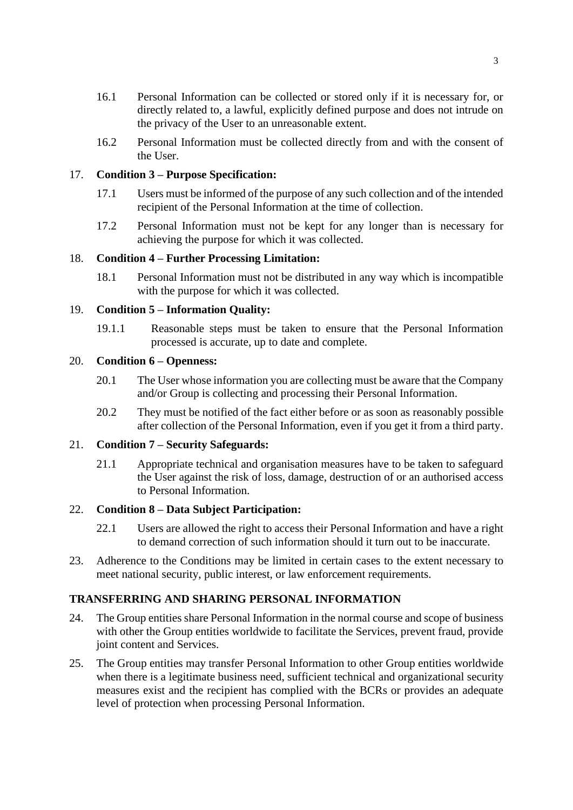- 16.1 Personal Information can be collected or stored only if it is necessary for, or directly related to, a lawful, explicitly defined purpose and does not intrude on the privacy of the User to an unreasonable extent.
- 16.2 Personal Information must be collected directly from and with the consent of the User.

# 17. **Condition 3 – Purpose Specification:**

- 17.1 Users must be informed of the purpose of any such collection and of the intended recipient of the Personal Information at the time of collection.
- 17.2 Personal Information must not be kept for any longer than is necessary for achieving the purpose for which it was collected.

# 18. **Condition 4 – Further Processing Limitation:**

18.1 Personal Information must not be distributed in any way which is incompatible with the purpose for which it was collected.

# 19. **Condition 5 – Information Quality:**

19.1.1 Reasonable steps must be taken to ensure that the Personal Information processed is accurate, up to date and complete.

## 20. **Condition 6 – Openness:**

- 20.1 The User whose information you are collecting must be aware that the Company and/or Group is collecting and processing their Personal Information.
- 20.2 They must be notified of the fact either before or as soon as reasonably possible after collection of the Personal Information, even if you get it from a third party.

## 21. **Condition 7 – Security Safeguards:**

21.1 Appropriate technical and organisation measures have to be taken to safeguard the User against the risk of loss, damage, destruction of or an authorised access to Personal Information.

## 22. **Condition 8 – Data Subject Participation:**

- 22.1 Users are allowed the right to access their Personal Information and have a right to demand correction of such information should it turn out to be inaccurate.
- 23. Adherence to the Conditions may be limited in certain cases to the extent necessary to meet national security, public interest, or law enforcement requirements.

# **TRANSFERRING AND SHARING PERSONAL INFORMATION**

- 24. The Group entities share Personal Information in the normal course and scope of business with other the Group entities worldwide to facilitate the Services, prevent fraud, provide joint content and Services.
- 25. The Group entities may transfer Personal Information to other Group entities worldwide when there is a legitimate business need, sufficient technical and organizational security measures exist and the recipient has complied with the BCRs or provides an adequate level of protection when processing Personal Information.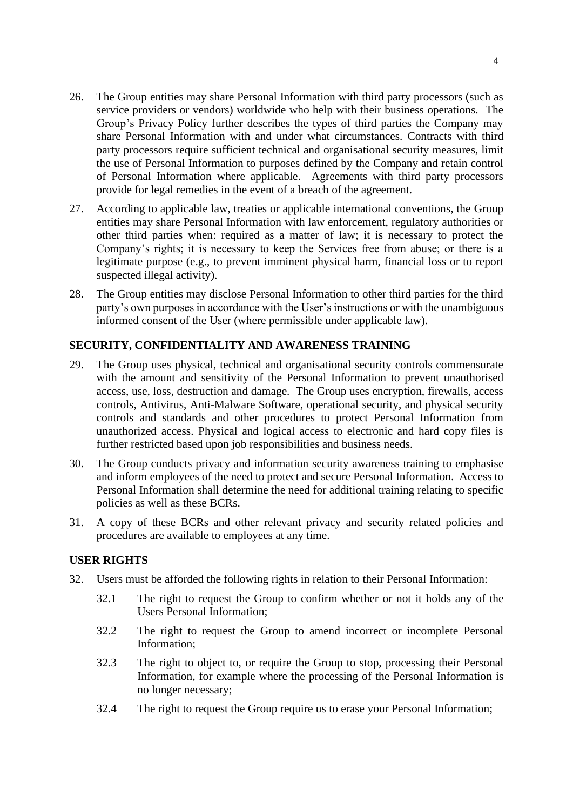- 26. The Group entities may share Personal Information with third party processors (such as service providers or vendors) worldwide who help with their business operations. The Group's Privacy Policy further describes the types of third parties the Company may share Personal Information with and under what circumstances. Contracts with third party processors require sufficient technical and organisational security measures, limit the use of Personal Information to purposes defined by the Company and retain control of Personal Information where applicable. Agreements with third party processors provide for legal remedies in the event of a breach of the agreement.
- 27. According to applicable law, treaties or applicable international conventions, the Group entities may share Personal Information with law enforcement, regulatory authorities or other third parties when: required as a matter of law; it is necessary to protect the Company's rights; it is necessary to keep the Services free from abuse; or there is a legitimate purpose (e.g., to prevent imminent physical harm, financial loss or to report suspected illegal activity).
- 28. The Group entities may disclose Personal Information to other third parties for the third party's own purposes in accordance with the User's instructions or with the unambiguous informed consent of the User (where permissible under applicable law).

# **SECURITY, CONFIDENTIALITY AND AWARENESS TRAINING**

- 29. The Group uses physical, technical and organisational security controls commensurate with the amount and sensitivity of the Personal Information to prevent unauthorised access, use, loss, destruction and damage. The Group uses encryption, firewalls, access controls, Antivirus, Anti-Malware Software, operational security, and physical security controls and standards and other procedures to protect Personal Information from unauthorized access. Physical and logical access to electronic and hard copy files is further restricted based upon job responsibilities and business needs.
- 30. The Group conducts privacy and information security awareness training to emphasise and inform employees of the need to protect and secure Personal Information. Access to Personal Information shall determine the need for additional training relating to specific policies as well as these BCRs.
- 31. A copy of these BCRs and other relevant privacy and security related policies and procedures are available to employees at any time.

## **USER RIGHTS**

- 32. Users must be afforded the following rights in relation to their Personal Information:
	- 32.1 The right to request the Group to confirm whether or not it holds any of the Users Personal Information;
	- 32.2 The right to request the Group to amend incorrect or incomplete Personal Information;
	- 32.3 The right to object to, or require the Group to stop, processing their Personal Information, for example where the processing of the Personal Information is no longer necessary;
	- 32.4 The right to request the Group require us to erase your Personal Information;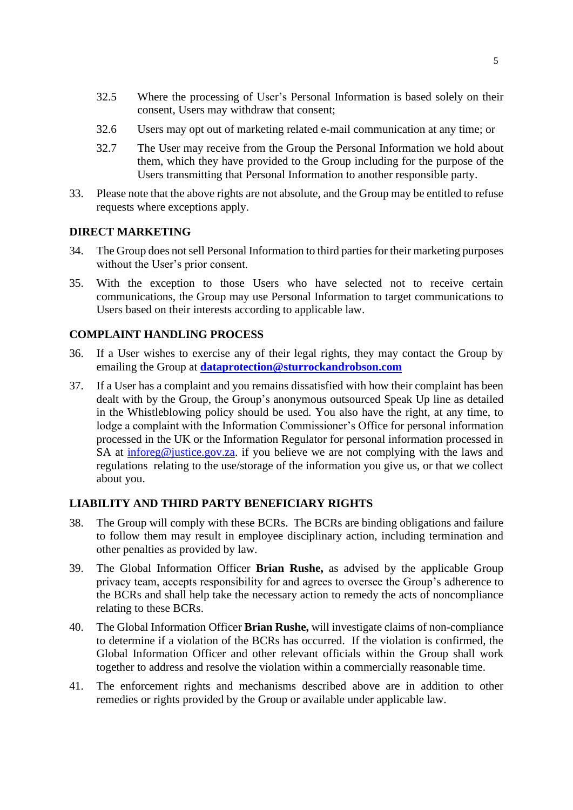- 32.5 Where the processing of User's Personal Information is based solely on their consent, Users may withdraw that consent;
- 32.6 Users may opt out of marketing related e-mail communication at any time; or
- 32.7 The User may receive from the Group the Personal Information we hold about them, which they have provided to the Group including for the purpose of the Users transmitting that Personal Information to another responsible party.
- 33. Please note that the above rights are not absolute, and the Group may be entitled to refuse requests where exceptions apply.

# **DIRECT MARKETING**

- 34. The Group does not sell Personal Information to third parties for their marketing purposes without the User's prior consent.
- 35. With the exception to those Users who have selected not to receive certain communications, the Group may use Personal Information to target communications to Users based on their interests according to applicable law.

# **COMPLAINT HANDLING PROCESS**

- 36. If a User wishes to exercise any of their legal rights, they may contact the Group by emailing the Group at **[dataprotection@sturrockandrobson.com](mailto:dataprotection@sturrockandrobson.com)**
- 37. If a User has a complaint and you remains dissatisfied with how their complaint has been dealt with by the Group, the Group's anonymous outsourced Speak Up line as detailed in the Whistleblowing policy should be used. You also have the right, at any time, to lodge a complaint with the Information Commissioner's Office for personal information processed in the UK or the Information Regulator for personal information processed in SA at [inforeg@justice.gov.za.](mailto:inforeg@justice.gov.za) if you believe we are not complying with the laws and regulations relating to the use/storage of the information you give us, or that we collect about you.

## **LIABILITY AND THIRD PARTY BENEFICIARY RIGHTS**

- 38. The Group will comply with these BCRs. The BCRs are binding obligations and failure to follow them may result in employee disciplinary action, including termination and other penalties as provided by law.
- 39. The Global Information Officer **Brian Rushe,** as advised by the applicable Group privacy team, accepts responsibility for and agrees to oversee the Group's adherence to the BCRs and shall help take the necessary action to remedy the acts of noncompliance relating to these BCRs.
- 40. The Global Information Officer **Brian Rushe,** will investigate claims of non-compliance to determine if a violation of the BCRs has occurred. If the violation is confirmed, the Global Information Officer and other relevant officials within the Group shall work together to address and resolve the violation within a commercially reasonable time.
- 41. The enforcement rights and mechanisms described above are in addition to other remedies or rights provided by the Group or available under applicable law.